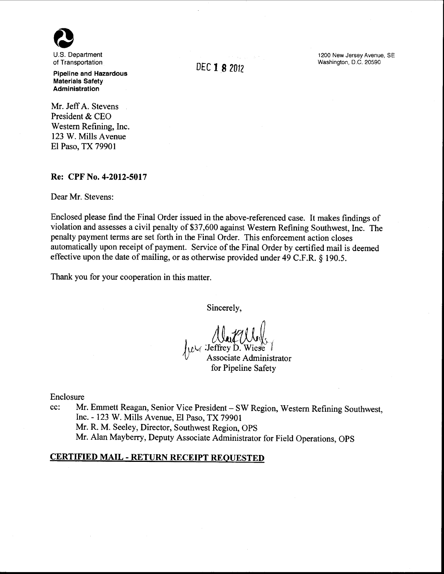

U.S. Department of Transportation

**Pipeline and Hazardous Materials Safety Administration** 

Mr. Jeff A. Stevens President & CEO Western Refining, Inc. 123 W. Mills Avenue El Paso, TX 79901

### **Re: CPF No. 4-2012-5017**

Dear Mr. Stevens:

Enclosed please find the Final Order issued in the above-referenced case. It makes findings of violation and assesses a civil penalty of \$37,600 against Western Refining Southwest, Inc. The penalty payment terms are set forth in the Final Order. This enforcement action closes automatically upon receipt of payment. Service of the Final Order by certified mail is deemed effective upon the date of mailing, or as otherwise provided under 49 C.F.R. § 190.5.

Thank you for your cooperation in this matter.

Sincerely,

Aud Alys *}LL(* :Jeffrey·o~ Wies'e l Associate Administrator for Pipeline Safety

Enclosure

cc: Mr. Emmett Reagan, Senior Vice President- SW Region, Western Refining Southwest, Inc.- 123 W. Mills Avenue, El Paso, TX 79901 Mr. R. M. Seeley, Director, Southwest Region, OPS Mr. Alan Mayberry, Deputy Associate Administrator for Field Operations, OPS

## **CERTIFIED MAIL- RETURN RECEIPT REQUESTED**

DEC **1 8** <sup>2012</sup>

1200 New Jersey Avenue, SE Washington, D.C. 20590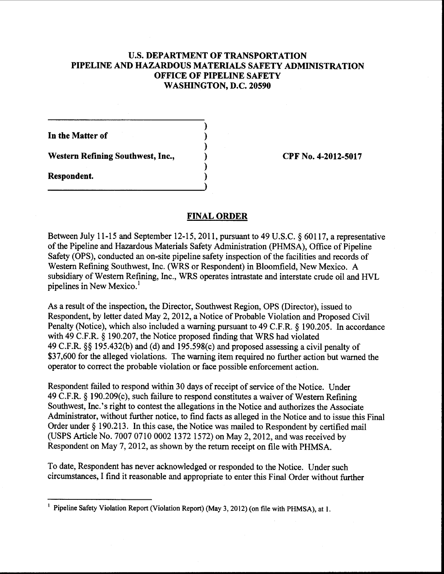# U.S. DEPARTMENT OF TRANSPORTATION PIPELINE AND HAZARDOUS MATERIALS SAFETY ADMINISTRATION OFFICE OF PIPELINE SAFETY WASHINGTON, D.C. 20590

) ) ) ) ) )

In the Matter of

Western Refining Southwest, Inc.,

Respondent.

CPF No. 4-2012-5017

## FINAL ORDER

Between July 11-15 and September 12-15, 2011, pursuant to 49 U.S.C. § 60117, a representative of the Pipeline and Hazardous Materials Safety Administration (PHMSA), Office of Pipeline Safety (OPS), conducted an on-site pipeline safety inspection of the facilities and records of Western Refining Southwest, Inc. (WRS or Respondent) in Bloomfield, New Mexico. A subsidiary of Western Refining, Inc., WRS operates intrastate and interstate crude oil and HVL pipelines in New Mexico.<sup>1</sup>

As a result of the inspection, the Director, Southwest Region, OPS (Director), issued to Respondent, by letter dated May 2, 2012, a Notice of Probable Violation and Proposed Civil Penalty (Notice), which also included a warning pursuant to 49 C.F.R. § 190.205. In accordance with 49 C.F.R. § 190.207, the Notice proposed finding that WRS had violated 49 C.F.R. §§ 195.432(b) and (d) and 195.598(c) and proposed assessing a civil penalty of \$37,600 for the alleged violations. The warning item required no further action but warned the operator to correct the probable violation or face possible enforcement action.

Respondent failed to respond within 30 days of receipt of service of the Notice. Under 49 C.F.R. § 190.209(c), such failure to respond constitutes a waiver of Western Refining Southwest, Inc.'s right to contest the allegations in the Notice and authorizes the Associate Administrator, without further notice, to find facts as alleged in the Notice and to issue this Final Order under§ 190.213. In this case, the Notice was mailed to Respondent by certified mail (USPS Article No. 7007 0710 0002 1372 1572) on May 2, 2012, and was received by Respondent on May 7, 2012, as shown by the return receipt on file with PHMSA.

To date, Respondent has never acknowledged or responded to the Notice. Under such circumstances, I find it reasonable and appropriate to enter this Final Order without further

<sup>&</sup>lt;sup>1</sup> Pipeline Safety Violation Report (Violation Report) (May 3, 2012) (on file with PHMSA), at 1.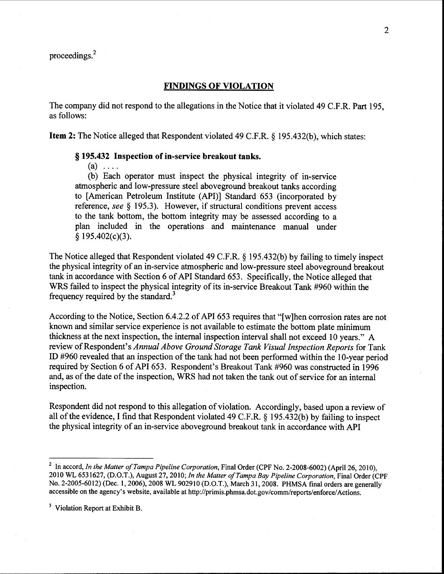### **FINDINGS OF VIOLATION**

The company did not respond to the allegations in the Notice that it violated 49 C.F.R. Part 195, as follows:

**Item 2:** The Notice alleged that Respondent violated 49 C.F.R. § 195.432(b), which states:

### § **195.432 Inspection of in-service breakout tanks.**

 $(a) \ldots$ 

(b) Each operator must inspect the physical integrity of in-service atmospheric and low-pressure steel aboveground breakout tanks according to [American Petroleum Institute (API)] Standard 653 (incorporated by reference, *see* § 195.3). However, if structural conditions prevent access to the tank bottom, the bottom integrity may be assessed according to a plan included in the operations and maintenance manual under § 195.402(c)(3).

The Notice alleged that Respondent violated 49 C.F.R. § 195.432(b) by failing to timely inspect the physical integrity of an in-service atmospheric and low-pressure steel aboveground breakout tank in accordance with Section 6 of API Standard 653. Specifically, the Notice alleged that WRS failed to inspect the physical integrity of its in-service Breakout Tank #960 within the frequency required by the standard.<sup>3</sup>

According to the Notice, Section 6.4.2.2 of API 653 requires that "[w]hen corrosion rates are not known and similar service experience is not available to estimate the bottom plate minimum thickness at the next inspection, the internal inspection interval shall not exceed 10 years." A review of Respondent's *Annual Above Ground Storage Tank Visual Inspection Reports* for Tank ID #960 revealed that an inspection of the tank had not been performed within the 1 0-year period required by Section 6 of API 653. Respondent's Breakout Tank #960 was constructed in 1996 and, as of the date of the inspection, WRS had not taken the tank out of service for an internal inspection.

Respondent did not respond to this allegation of violation. Accordingly, based upon a review of all of the evidence, I find that Respondent violated 49 C.F.R.  $\S$  195.432(b) by failing to inspect the physical integrity of an in-service aboveground breakout tank in accordance with API

<sup>&</sup>lt;sup>2</sup> In accord, *In the Matter of Tampa Pipeline Corporation*, Final Order (CPF No. 2-2008-6002) (April 26, 2010), 2010 WL 6531627, (D.O.T.), August 27, 2010; *In the Matter ofTampa Bay Pipeline Corporation,* Final Order (CPF No. 2-2005-6012) (Dec. 1, 2006), 2008 WL 902910 (D.O.T.), March 31,2008. PHMSA final orders are generally accessible on the agency's website, available at http://primis.phmsa.dot.gov/comm/reports/enforce/ Actions.

<sup>&</sup>lt;sup>3</sup> Violation Report at Exhibit B.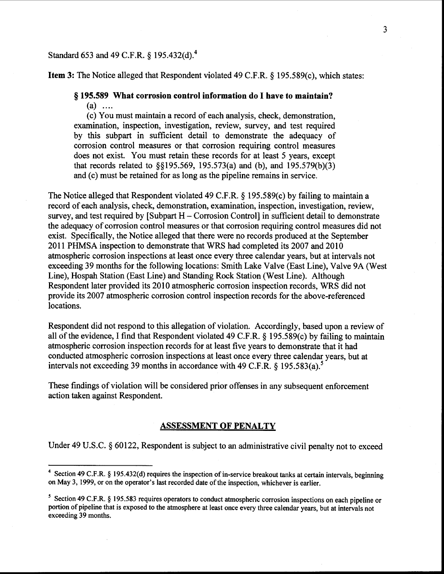# Standard 653 and 49 C.F.R. § 195.432(d).<sup>4</sup>

**Item 3:** The Notice alleged that Respondent violated 49 C.F.R. § 195.589(c), which states:

# § **195.589 What corrosion control information do I have to maintain?**

 $(a)$  ....

(c) You must maintain a record of each analysis, check, demonstration, examination, inspection, investigation, review, survey, and test required by this subpart in sufficient detail to demonstrate the adequacy of corrosion control measures or that corrosion requiring control measures does not exist. You must retain these records for at least 5 years, except that records related to §§195.569, 195.573(a) and (b), and 195.579(b)(3) and (c) must be retained for as long as the pipeline remains in service.

The Notice alleged that Respondent violated 49 C.F.R. § 195.589(c) by failing to maintain a record of each analysis, check, demonstration, examination, inspection, investigation, review, survey, and test required by [Subpart H – Corrosion Control] in sufficient detail to demonstrate the adequacy of corrosion control measures or that corrosion requiring control measures did not exist. Specifically, the Notice alleged that there were no records produced at the September 2011 PHMSA inspection to demonstrate that WRS had completed its 2007 and 2010 atmospheric corrosion inspections at least once every three calendar years, but at intervals not exceeding 39 months for the following locations: Smith Lake Valve (East Line), Valve 9A (West Line), Hospah Station (East Line) and Standing Rock Station (West Line). Although Respondent later provided its 2010 atmospheric corrosion inspection records, WRS did not provide its 2007 atmospheric corrosion control inspection records for the above-referenced locations.

Respondent did not respond to this allegation of violation. Accordingly, based upon a review of all of the evidence, I find that Respondent violated 49 C.F.R.  $\S$  195.589(c) by failing to maintain atmospheric corrosion inspection records for at least five years to demonstrate that it had conducted atmospheric corrosion inspections at least once every three calendar years, but at intervals not exceeding 39 months in accordance with 49 C.F.R.  $\S$  195.583(a).<sup>5</sup>

These findings of violation will be considered prior offenses in any subsequent enforcement action taken against Respondent.

### **ASSESSMENT OF PENALTY**

Under 49 U.S.C. § 60122, Respondent is subject to an administrative civil penalty not to exceed

<sup>&</sup>lt;sup>4</sup> Section 49 C.F.R. § 195.432(d) requires the inspection of in-service breakout tanks at certain intervals, beginning on May 3, 1999, or on the operator's last recorded date of the inspection, whichever is earlier.

<sup>&</sup>lt;sup>5</sup> Section 49 C.F.R. § 195.583 requires operators to conduct atmospheric corrosion inspections on each pipeline or portion of pipeline that is exposed to the atmosphere at least once every three calendar years, but at intervals not exceeding 39 months.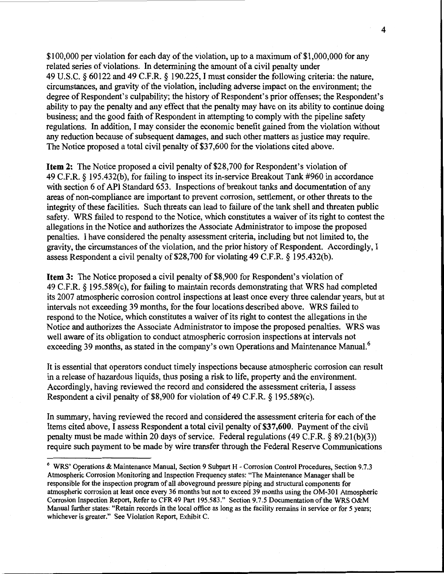\$100,000 per violation for each day of the violation, up to a maximum of \$1,000,000 for any related series of violations. In determining the amount of a civil penalty under 49 U.S.C. § 60122 and 49 C.F.R. § 190.225, I must consider the following criteria: the nature, circumstances, and gravity of the violation, including adverse impact on the environment; the degree of Respondent's culpability; the history of Respondent's prior offenses; the Respondent's ability to pay the penalty and any effect that the penalty may have on its ability to continue doing business; and the good faith of Respondent in attempting to comply with the pipeline safety regulations. In addition, I may consider the economic benefit gained from the violation without any reduction because of subsequent damages, and such other matters as justice may require. The Notice proposed a total civil penalty of \$37,600 for the violations cited above.

**Item 2:** The Notice proposed a civil penalty of \$28,700 for Respondent's violation of 49 C.F.R. § 195.432(b ), for failing to inspect its in-service Breakout Tank #960 in accordance with section 6 of API Standard 653. Inspections of breakout tanks and documentation of any areas of non-compliance are important to prevent corrosion, settlement, or other threats to the integrity of these facilities. Such threats can lead to failure of the tank shell and threaten public safety. WRS failed to respond to the Notice, which constitutes a waiver of its right to contest the allegations in the Notice and authorizes the Associate Administrator to impose the proposed penalties. I have considered the penalty assessment criteria, including but not limited to, the gravity, the circumstances of the violation, and the prior history of Respondent. Accordingly, I assess Respondent a civil penalty of\$28,700 for violating 49 C.F.R. § 195.432(b).

Item 3: The Notice proposed a civil penalty of \$8,900 for Respondent's violation of 49 C.F.R. § 195.589(c), for failing to maintain records demonstrating that WRS had completed its 2007 atmospheric corrosion control inspections at least once every three calendar years, but at intervals not exceeding 39 months, for the four locations described above. WRS failed to respond to the Notice, which constitutes a waiver of its right to contest the allegations in the Notice and authorizes the Associate Administrator to impose the proposed penalties. WRS was well aware of its obligation to conduct atmospheric corrosion inspections at intervals not exceeding 39 months, as stated in the company's own Operations and Maintenance Manual.<sup>6</sup>

It is essential that operators conduct timely inspections because atmospheric corrosion can result in a release of hazardous liquids, thus posing a risk to life, property and the environment. Accordingly, having reviewed the record and considered the assessment criteria, I assess Respondent a civil penalty of \$8,900 for violation of 49 C.F.R. § 195.589(c).

In summary, having reviewed the record and considered the assessment criteria for each of the Items cited above, I assess Respondent a total civil penalty of \$37,600. Payment of the civil penalty must be made within 20 days of service. Federal regulations (49 C.F.R. § 89.21(b)(3)) require such payment to be made by wire transfer through the Federal Reserve Communications

<sup>6</sup> WRS' Operations & Maintenance Manual, Section 9 Subpart H- Corrosion Control Procedures, Section 9.7.3 Atmospheric Corrosion Monitoring and Inspection Frequency states: "The Maintenance Manager shall be responsible for the inspection program of all aboveground pressure piping and structural components for atmospheric corrosion at least once every 36 months but not to exceed 39 months using the OM-301 Atmospheric Corrosion Inspection Report, Refer to CFR 49 Part 195.583." Section 9.7.5 Documentation of the WRS O&M Manual further states: "Retain records in the local office as long as the facility remains in service or for *5* years; whichever is greater." See Violation Report, Exhibit C.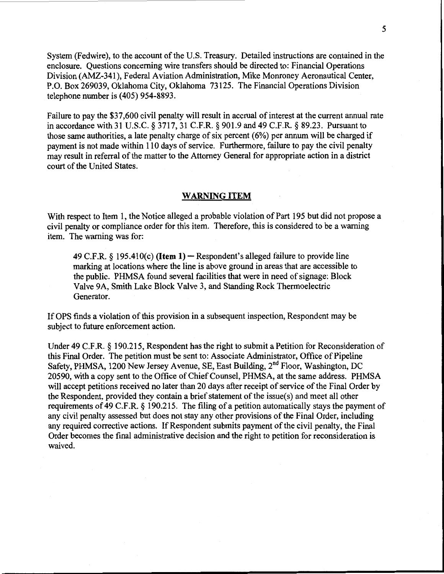System (Fedwire), to the account of the U.S. Treasury. Detailed instructions are contained in the enclosure. Questions concerning wire transfers should be directed to: Financial Operations Division (AMZ-341), Federal Aviation Administration, Mike Monroney Aeronautical Center, P.O. Box 269039, Oklahoma City, Oklahoma 73125. The Financial Operations Division telephone number is (405) 954-8893.

Failure to pay the \$37,600 civil penalty will result in accrual of interest at the current annual rate in accordance with 31 U.S.C. § 3717, 31 C.F.R. § 901.9 and 49 C.P.R. § 89.23. Pursuant to those same authorities, a late penalty charge of six percent (6%) per annum will be charged if payment is not made within 110 days of service. Furthermore, failure to pay the civil penalty may result in referral of the matter to the Attorney General for appropriate action in a district court of the United States.

### WARNING ITEM

With respect to Item 1, the Notice alleged a probable violation of Part 195 but did not propose a civil penalty or compliance order for this item. Therefore, this is considered to be a warning item. The warning was for:

49 C.F.R.  $\S$  195.410(c) (**Item 1)** – Respondent's alleged failure to provide line marking at locations where the line is above ground in areas that are accessible to the public. PHMSA found several facilities that were in need of signage: Block Valve 9A, Smith Lake Block Valve 3, and Standing Rock Thermoelectric Generator.

If OPS finds a violation of this provision in a subsequent inspection, Respondent may be subject to future enforcement action.

Under 49 C.F.R. § 190.215, Respondent has the right to submit a Petition for Reconsideration of this Final Order. The petition must be sent to: Associate Administrator, Office of Pipeline Safety, PHMSA, 1200 New Jersey Avenue, SE, East Building, 2<sup>nd</sup> Floor, Washington, DC 20590, with a copy sent to the Office of Chief Counsel, PHMSA, at the same address. PHMSA will accept petitions received no later than 20 days after receipt of service of the Final Order by the Respondent, provided they contain a brief statement of the issue( s) and meet all other requirements of 49 C.P.R.§ 190.215. The filing of a petition automatically stays the payment of any civil penalty assessed but does not stay any other provisions of the Final Order, including any required corrective actions. If Respondent submits payment of the civil penalty, the Final Order becomes the final administrative decision and the right to petition for reconsideration is waived.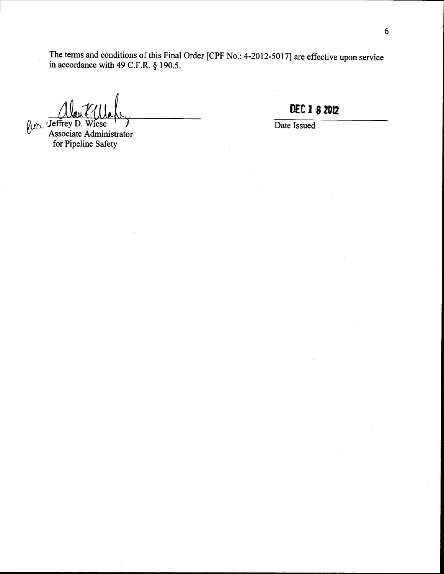The terms and conditions of this Final Order [CPF No.: 4-2012-5017] are effective upon service in accordance with 49 C.P.R.§ 190.5.

 $\int \mathcal{W} \cdot \mathcal{F}$  Jeffrey D. iese Associate Administrator for Pipeline Safety

**D£C 18 2012** 

Date Issued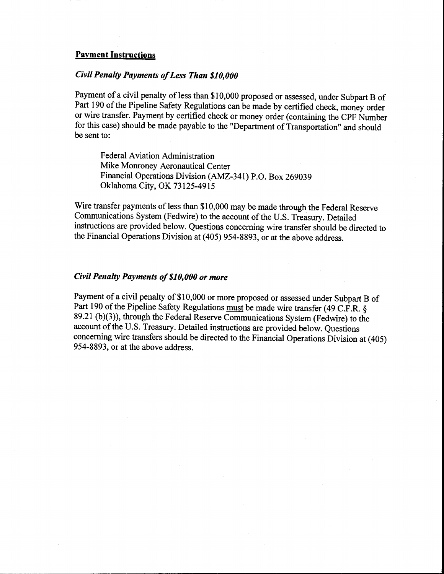### Payment Instructions

### *Civil Penalty Payments of Less Than \$10,000*

Payment of a civil penalty of less than \$10,000 proposed or assessed, under Subpart B of Part 190 of the Pipeline Safety Regulations can be made by certified check, money order or wire transfer. Payment by certified check or money order (containing the CPF Number for this case) should be made payable to the "Department of Transportation" and should be sent to:

Federal Aviation Administration Mike Monroney Aeronautical Center Financial Operations Division (AMZ-341) P.O. Box 269039 Oklahoma City, OK 73125-4915

Wire transfer payments of less than \$10,000 may be made through the Federal Reserve Communications System (Fedwire) to the account of the U.S. Treasury. Detailed instructions are provided below. Questions concerning wire transfer should be directed to the Financial Operations Division at ( 405) 954-8893, or at the above address.

## *Civil Penalty Payments of \$10,000 or more*

Payment of a civil penalty of \$10,000 or more proposed or assessed under Subpart B of Part 190 of the Pipeline Safety Regulations must be made wire transfer (49 C.F.R. § 89.21 (b)(3)), through the Federal Reserve Communications System (Fedwire) to the account of the U.S. Treasury. Detailed instructions are provided below. Questions concerning wire transfers should be directed to the Financial Operations Division at ( 405) 954-8893, or at the above address.